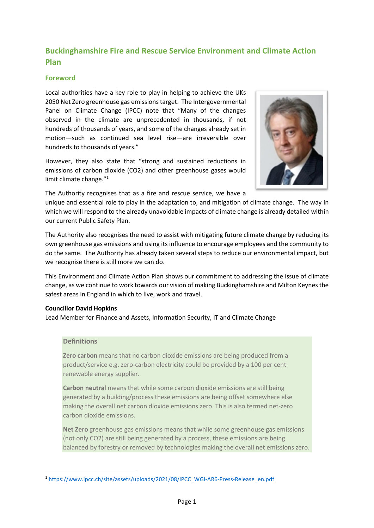# **Buckinghamshire Fire and Rescue Service Environment and Climate Action Plan**

# **Foreword**

Local authorities have a key role to play in helping to achieve the UKs 2050 Net Zero greenhouse gas emissions target. The Intergovernmental Panel on Climate Change (IPCC) note that "Many of the changes observed in the climate are unprecedented in thousands, if not hundreds of thousands of years, and some of the changes already set in motion—such as continued sea level rise—are irreversible over hundreds to thousands of years."

However, they also state that "strong and sustained reductions in emissions of carbon dioxide (CO2) and other greenhouse gases would limit climate change."<sup>1</sup>



The Authority recognises that as a fire and rescue service, we have a

unique and essential role to play in the adaptation to, and mitigation of climate change. The way in which we will respond to the already unavoidable impacts of climate change is already detailed within our current Public Safety Plan.

The Authority also recognises the need to assist with mitigating future climate change by reducing its own greenhouse gas emissions and using its influence to encourage employees and the community to do the same. The Authority has already taken several steps to reduce our environmental impact, but we recognise there is still more we can do.

This Environment and Climate Action Plan shows our commitment to addressing the issue of climate change, as we continue to work towards our vision of making Buckinghamshire and Milton Keynes the safest areas in England in which to live, work and travel.

## **Councillor David Hopkins**

Lead Member for Finance and Assets, Information Security, IT and Climate Change

# **Definitions**

**Zero carbon** means that no carbon dioxide emissions are being produced from a product/service e.g. zero-carbon electricity could be provided by a 100 per cent renewable energy supplier.

**Carbon neutral** means that while some carbon dioxide emissions are still being generated by a building/process these emissions are being offset somewhere else making the overall net carbon dioxide emissions zero. This is also termed net-zero carbon dioxide emissions.

**Net Zero** greenhouse gas emissions means that while some greenhouse gas emissions (not only CO2) are still being generated by a process, these emissions are being balanced by forestry or removed by technologies making the overall net emissions zero.

<sup>1</sup> [https://www.ipcc.ch/site/assets/uploads/2021/08/IPCC\\_WGI-AR6-Press-Release\\_en.pdf](https://www.ipcc.ch/site/assets/uploads/2021/08/IPCC_WGI-AR6-Press-Release_en.pdf)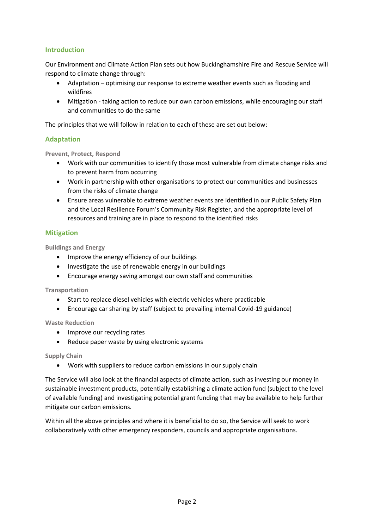# **Introduction**

Our Environment and Climate Action Plan sets out how Buckinghamshire Fire and Rescue Service will respond to climate change through:

- Adaptation optimising our response to extreme weather events such as flooding and wildfires
- Mitigation taking action to reduce our own carbon emissions, while encouraging our staff and communities to do the same

The principles that we will follow in relation to each of these are set out below:

## **Adaptation**

**Prevent, Protect, Respond**

- Work with our communities to identify those most vulnerable from climate change risks and to prevent harm from occurring
- Work in partnership with other organisations to protect our communities and businesses from the risks of climate change
- Ensure areas vulnerable to extreme weather events are identified in our Public Safety Plan and the Local Resilience Forum's Community Risk Register, and the appropriate level of resources and training are in place to respond to the identified risks

#### **Mitigation**

**Buildings and Energy**

- Improve the energy efficiency of our buildings
- Investigate the use of renewable energy in our buildings
- Encourage energy saving amongst our own staff and communities

**Transportation**

- Start to replace diesel vehicles with electric vehicles where practicable
- Encourage car sharing by staff (subject to prevailing internal Covid-19 guidance)

**Waste Reduction**

- Improve our recycling rates
- Reduce paper waste by using electronic systems

**Supply Chain**

• Work with suppliers to reduce carbon emissions in our supply chain

The Service will also look at the financial aspects of climate action, such as investing our money in sustainable investment products, potentially establishing a climate action fund (subject to the level of available funding) and investigating potential grant funding that may be available to help further mitigate our carbon emissions.

Within all the above principles and where it is beneficial to do so, the Service will seek to work collaboratively with other emergency responders, councils and appropriate organisations.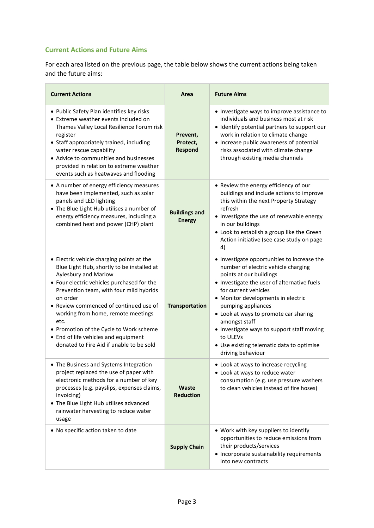# **Current Actions and Future Aims**

For each area listed on the previous page, the table below shows the current actions being taken and the future aims:

| <b>Current Actions</b>                                                                                                                                                                                                                                                                                                                                                                                                                    | Area                                   | <b>Future Aims</b>                                                                                                                                                                                                                                                                                                                                                                                                                     |
|-------------------------------------------------------------------------------------------------------------------------------------------------------------------------------------------------------------------------------------------------------------------------------------------------------------------------------------------------------------------------------------------------------------------------------------------|----------------------------------------|----------------------------------------------------------------------------------------------------------------------------------------------------------------------------------------------------------------------------------------------------------------------------------------------------------------------------------------------------------------------------------------------------------------------------------------|
| • Public Safety Plan identifies key risks<br>• Extreme weather events included on<br>Thames Valley Local Resilience Forum risk<br>register<br>• Staff appropriately trained, including<br>water rescue capability<br>• Advice to communities and businesses<br>provided in relation to extreme weather<br>events such as heatwaves and flooding                                                                                           | Prevent,<br>Protect,<br><b>Respond</b> | • Investigate ways to improve assistance to<br>individuals and business most at risk<br>• Identify potential partners to support our<br>work in relation to climate change<br>• Increase public awareness of potential<br>risks associated with climate change<br>through existing media channels                                                                                                                                      |
| • A number of energy efficiency measures<br>have been implemented, such as solar<br>panels and LED lighting<br>• The Blue Light Hub utilises a number of<br>energy efficiency measures, including a<br>combined heat and power (CHP) plant                                                                                                                                                                                                | <b>Buildings and</b><br><b>Energy</b>  | • Review the energy efficiency of our<br>buildings and include actions to improve<br>this within the next Property Strategy<br>refresh<br>• Investigate the use of renewable energy<br>in our buildings<br>• Look to establish a group like the Green<br>Action initiative (see case study on page<br>4)                                                                                                                               |
| • Electric vehicle charging points at the<br>Blue Light Hub, shortly to be installed at<br>Aylesbury and Marlow<br>• Four electric vehicles purchased for the<br>Prevention team, with four mild hybrids<br>on order<br>Review commenced of continued use of<br>working from home, remote meetings<br>etc.<br>• Promotion of the Cycle to Work scheme<br>• End of life vehicles and equipment<br>donated to Fire Aid if unable to be sold | <b>Transportation</b>                  | • Investigate opportunities to increase the<br>number of electric vehicle charging<br>points at our buildings<br>• Investigate the user of alternative fuels<br>for current vehicles<br>• Monitor developments in electric<br>pumping appliances<br>• Look at ways to promote car sharing<br>amongst staff<br>• Investigate ways to support staff moving<br>to ULEVs<br>• Use existing telematic data to optimise<br>driving behaviour |
| The Business and Systems Integration<br>project replaced the use of paper with<br>electronic methods for a number of key<br>processes (e.g. payslips, expenses claims,<br>invoicing)<br>• The Blue Light Hub utilises advanced<br>rainwater harvesting to reduce water<br>usage                                                                                                                                                           | <b>Waste</b><br><b>Reduction</b>       | • Look at ways to increase recycling<br>• Look at ways to reduce water<br>consumption (e.g. use pressure washers<br>to clean vehicles instead of fire hoses)                                                                                                                                                                                                                                                                           |
| . No specific action taken to date                                                                                                                                                                                                                                                                                                                                                                                                        | <b>Supply Chain</b>                    | • Work with key suppliers to identify<br>opportunities to reduce emissions from<br>their products/services<br>• Incorporate sustainability requirements<br>into new contracts                                                                                                                                                                                                                                                          |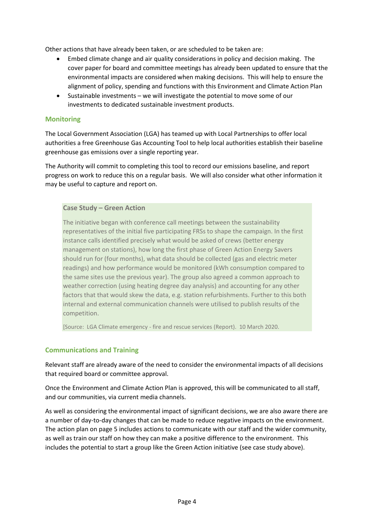Other actions that have already been taken, or are scheduled to be taken are:

- Embed climate change and air quality considerations in policy and decision making. The cover paper for board and committee meetings has already been updated to ensure that the environmental impacts are considered when making decisions. This will help to ensure the alignment of policy, spending and functions with this Environment and Climate Action Plan
- Sustainable investments we will investigate the potential to move some of our investments to dedicated sustainable investment products.

#### **Monitoring**

The Local Government Association (LGA) has teamed up with Local Partnerships to offer local authorities a free Greenhouse Gas Accounting Tool to help local authorities establish their baseline greenhouse gas emissions over a single reporting year.

The Authority will commit to completing this tool to record our emissions baseline, and report progress on work to reduce this on a regular basis. We will also consider what other information it may be useful to capture and report on.

#### **Case Study – Green Action**

The initiative began with conference call meetings between the sustainability representatives of the initial five participating FRSs to shape the campaign. In the first instance calls identified precisely what would be asked of crews (better energy management on stations), how long the first phase of Green Action Energy Savers should run for (four months), what data should be collected (gas and electric meter readings) and how performance would be monitored (kWh consumption compared to the same sites use the previous year). The group also agreed a common approach to weather correction (using heating degree day analysis) and accounting for any other factors that that would skew the data, e.g. station refurbishments. Further to this both internal and external communication channels were utilised to publish results of the competition.

[Source: LGA Climate emergency - fire and rescue services (Report). 10 March 2020.

## **Communications and Training**

Relevant staff are already aware of the need to consider the environmental impacts of all decisions that required board or committee approval.

Once the Environment and Climate Action Plan is approved, this will be communicated to all staff, and our communities, via current media channels.

As well as considering the environmental impact of significant decisions, we are also aware there are a number of day-to-day changes that can be made to reduce negative impacts on the environment. The action plan on page 5 includes actions to communicate with our staff and the wider community, as well as train our staff on how they can make a positive difference to the environment. This includes the potential to start a group like the Green Action initiative (see case study above).